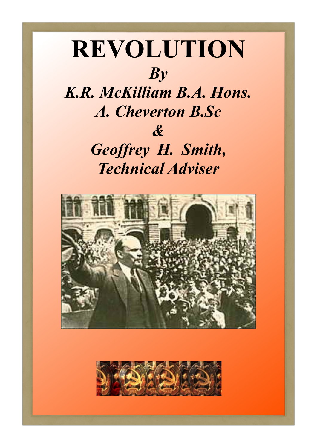# **REVOLUTION** *By K.R. McKilliam B.A. Hons. A. Cheverton B.Sc & Geoffrey H. Smith, Technical Adviser*



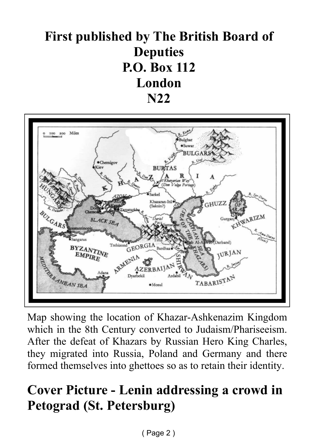### **First published by The British Board of Deputies P.O. Box 112 London N22**



Map showing the location of Khazar-Ashkenazim Kingdom which in the 8th Century converted to Judaism/Phariseeism. After the defeat of Khazars by Russian Hero King Charles, they migrated into Russia, Poland and Germany and there formed themselves into ghettoes so as to retain their identity.

## **Cover Picture - Lenin addressing a crowd in Petograd (St. Petersburg)**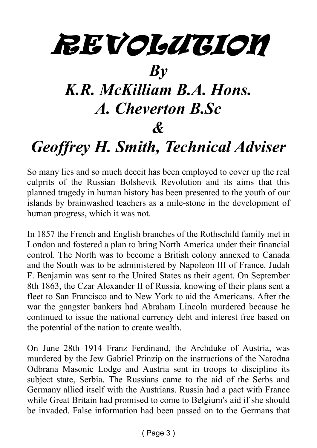

So many lies and so much deceit has been employed to cover up the real culprits of the Russian Bolshevik Revolution and its aims that this planned tragedy in human history has been presented to the youth of our islands by brainwashed teachers as a mile-stone in the development of human progress, which it was not.

In 1857 the French and English branches of the Rothschild family met in London and fostered a plan to bring North America under their financial control. The North was to become a British colony annexed to Canada and the South was to be administered by Napoleon III of France. Judah F. Benjamin was sent to the United States as their agent. On September 8th 1863, the Czar Alexander II of Russia, knowing of their plans sent a fleet to San Francisco and to New York to aid the Americans. After the war the gangster bankers had Abraham Lincoln murdered because he continued to issue the national currency debt and interest free based on the potential of the nation to create wealth.

On June 28th 1914 Franz Ferdinand, the Archduke of Austria, was murdered by the Jew Gabriel Prinzip on the instructions of the Narodna Odbrana Masonic Lodge and Austria sent in troops to discipline its subject state, Serbia. The Russians came to the aid of the Serbs and Germany allied itself with the Austrians. Russia had a pact with France while Great Britain had promised to come to Belgium's aid if she should be invaded. False information had been passed on to the Germans that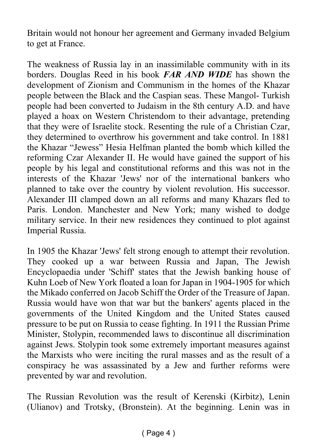Britain would not honour her agreement and Germany invaded Belgium to get at France.

The weakness of Russia lay in an inassimilable community with in its borders. Douglas Reed in his book *FAR AND WIDE* has shown the development of Zionism and Communism in the homes of the Khazar people between the Black and the Caspian seas. These Mangol- Turkish people had been converted to Judaism in the 8th century A.D. and have played a hoax on Western Christendom to their advantage, pretending that they were of Israelite stock. Resenting the rule of a Christian Czar, they determined to overthrow his government and take control. In 1881 the Khazar "Jewess" Hesia Helfman planted the bomb which killed the reforming Czar Alexander II. He would have gained the support of his people by his legal and constitutional reforms and this was not in the interests of the Khazar 'Jews' nor of the international bankers who planned to take over the country by violent revolution. His successor. Alexander III clamped down an all reforms and many Khazars fled to Paris. London. Manchester and New York; many wished to dodge military service. In their new residences they continued to plot against Imperial Russia.

In 1905 the Khazar 'Jews' felt strong enough to attempt their revolution. They cooked up a war between Russia and Japan, The Jewish Encyclopaedia under 'Schiff' states that the Jewish banking house of Kuhn Loeb of New York floated a loan for Japan in 1904-1905 for which the Mikado conferred on Jacob Schiff the Order of the Treasure of Japan. Russia would have won that war but the bankers' agents placed in the governments of the United Kingdom and the United States caused pressure to be put on Russia to cease fighting. In 1911 the Russian Prime Minister, Stolypin, recommended laws to discontinue all discrimination against Jews. Stolypin took some extremely important measures against the Marxists who were inciting the rural masses and as the result of a conspiracy he was assassinated by a Jew and further reforms were prevented by war and revolution.

The Russian Revolution was the result of Kerenski (Kirbitz), Lenin (Ulianov) and Trotsky, (Bronstein). At the beginning. Lenin was in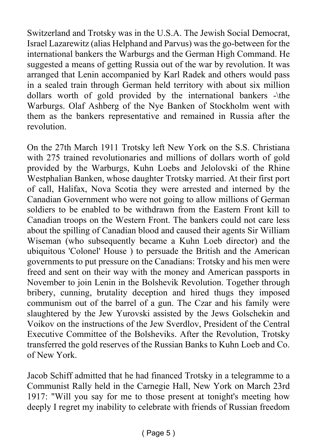Switzerland and Trotsky was in the U.S.A. The Jewish Social Democrat, Israel Lazarewitz (alias Helphand and Parvus) was the go-between for the international bankers the Warburgs and the German High Command. He suggested a means of getting Russia out of the war by revolution. It was arranged that Lenin accompanied by Karl Radek and others would pass in a sealed train through German held territory with about six million dollars worth of gold provided by the international bankers -\the Warburgs. Olaf Ashberg of the Nye Banken of Stockholm went with them as the bankers representative and remained in Russia after the revolution.

On the 27th March 1911 Trotsky left New York on the S.S. Christiana with 275 trained revolutionaries and millions of dollars worth of gold provided by the Warburgs, Kuhn Loebs and Jelolovski of the Rhine Westphalian Banken, whose daughter Trotsky married. At their first port of call, Halifax, Nova Scotia they were arrested and interned by the Canadian Government who were not going to allow millions of German soldiers to be enabled to be withdrawn from the Eastern Front kill to Canadian troops on the Western Front. The bankers could not care less about the spilling of Canadian blood and caused their agents Sir William Wiseman (who subsequently became a Kuhn Loeb director) and the ubiquitous 'Colonel' House ) to persuade the British and the American governments to put pressure on the Canadians: Trotsky and his men were freed and sent on their way with the money and American passports in November to join Lenin in the Bolshevik Revolution. Together through bribery, cunning, brutality deception and hired thugs they imposed communism out of the barrel of a gun. The Czar and his family were slaughtered by the Jew Yurovski assisted by the Jews Golschekin and Voikov on the instructions of the Jew Sverdlov, President of the Central Executive Committee of the Bolsheviks. After the Revolution, Trotsky transferred the gold reserves of the Russian Banks to Kuhn Loeb and Co. of New York.

Jacob Schiff admitted that he had financed Trotsky in a telegramme to a Communist Rally held in the Carnegie Hall, New York on March 23rd 1917: "Will you say for me to those present at tonight's meeting how deeply I regret my inability to celebrate with friends of Russian freedom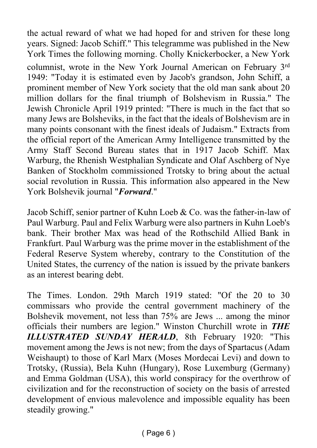the actual reward of what we had hoped for and striven for these long years. Signed: Jacob Schiff." This telegramme was published in the New York Times the following morning. Cholly Knickerbocker, a New York columnist, wrote in the New York Journal American on February 3rd 1949: "Today it is estimated even by Jacob's grandson, John Schiff, a prominent member of New York society that the old man sank about 20 million dollars for the final triumph of Bolshevism in Russia." The Jewish Chronicle April 1919 printed: "There is much in the fact that so many Jews are Bolsheviks, in the fact that the ideals of Bolshevism are in many points consonant with the finest ideals of Judaism." Extracts from the official report of the American Army Intelligence transmitted by the Army Staff Second Bureau states that in 1917 Jacob Schiff. Max Warburg, the Rhenish Westphalian Syndicate and Olaf Aschberg of Nye Banken of Stockholm commissioned Trotsky to bring about the actual social revolution in Russia. This information also appeared in the New York Bolshevik journal "*Forward*."

Jacob Schiff, senior partner of Kuhn Loeb & Co. was the father-in-law of Paul Warburg. Paul and Felix Warburg were also partners in Kuhn Loeb's bank. Their brother Max was head of the Rothschild Allied Bank in Frankfurt. Paul Warburg was the prime mover in the establishment of the Federal Reserve System whereby, contrary to the Constitution of the United States, the currency of the nation is issued by the private bankers as an interest bearing debt.

The Times. London. 29th March 1919 stated: "Of the 20 to 30 commissars who provide the central government machinery of the Bolshevik movement, not less than 75% are Jews ... among the minor officials their numbers are legion." Winston Churchill wrote in *THE ILLUSTRATED SUNDAY HERALD*, 8th February 1920: "This movement among the Jews is not new; from the days of Spartacus (Adam Weishaupt) to those of Karl Marx (Moses Mordecai Levi) and down to Trotsky, (Russia), Bela Kuhn (Hungary), Rose Luxemburg (Germany) and Emma Goldman (USA), this world conspiracy for the overthrow of civilization and for the reconstruction of society on the basis of arrested development of envious malevolence and impossible equality has been steadily growing."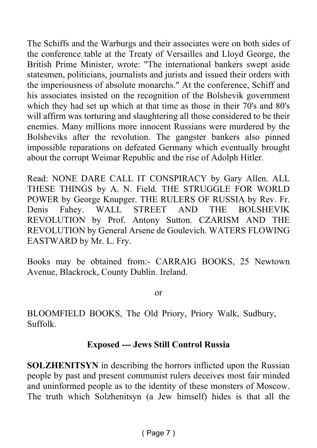The Schiffs and the Warburgs and their associates were on both sides of the conference table at the Treaty of Versailles and Lloyd George, the British Prime Minister, wrote: "The international bankers swept aside statesmen, politicians, journalists and jurists and issued their orders with the imperiousness of absolute monarchs." At the conference, Schiff and his associates insisted on the recognition of the Bolshevik government which they had set up which at that time as those in their 70's and 80's will affirm was torturing and slaughtering all those considered to be their enemies. Many millions more innocent Russians were murdered by the Bolsheviks after the revolution. The gangster bankers also pinned impossible reparations on defeated Germany which eventually brought about the corrupt Weimar Republic and the rise of Adolph Hitler.

Read: NONE DARE CALL IT CONSPIRACY by Gary Allen. ALL THESE THINGS by A. N. Field. THE STRUGGLE FOR WORLD POWER by George Knupger. THE RULERS OF RUSSIA by Rev. Fr. Denis Fahey. WALL STREET AND THE BOLSHEVIK REVOLUTION by Prof. Antony Sutton. CZARISM AND THE REVOLUTION by General Arsene de Goulevich. WATERS FLOWING EASTWARD by Mr. L. Fry.

Books may be obtained from:- CARRAIG BOOKS, 25 Newtown Avenue, Blackrock, County Dublin. Ireland.

or

BLOOMFIELD BOOKS, The Old Priory, Priory Walk, Sudbury, Suffolk.

#### **Exposed --- Jews Still Control Russia**

**SOLZHENITSYN** in describing the horrors inflicted upon the Russian people by past and present communist rulers deceives most fair minded and uninformed people as to the identity of these monsters of Moscow. The truth which Solzhenitsyn (a Jew himself) hides is that all the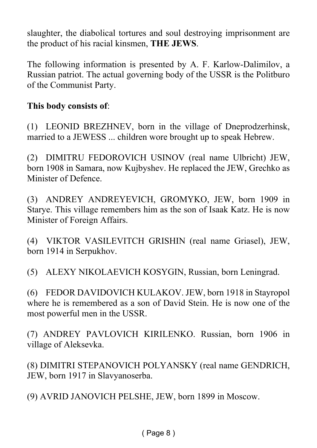slaughter, the diabolical tortures and soul destroying imprisonment are the product of his racial kinsmen, **THE JEWS**.

The following information is presented by A. F. Karlow-Dalimilov, a Russian patriot. The actual governing body of the USSR is the Politburo of the Communist Party.

#### **This body consists of**:

(1) LEONID BREZHNEV, born in the village of Dneprodzerhinsk, married to a JEWESS ... children wore brought up to speak Hebrew.

(2) DIMITRU FEDOROVICH USINOV (real name Ulbricht) JEW, born 1908 in Samara, now Kujbyshev. He replaced the JEW, Grechko as Minister of Defence.

(3) ANDREY ANDREYEVICH, GROMYKO, JEW, born 1909 in Starye. This village remembers him as the son of Isaak Katz. He is now Minister of Foreign Affairs.

(4) VIKTOR VASILEVITCH GRISHIN (real name Griasel), JEW, born 1914 in Serpukhov.

(5) ALEXY NIKOLAEVICH KOSYGIN, Russian, born Leningrad.

(6) FEDOR DAVIDOVICH KULAKOV. JEW, born 1918 in Stayropol where he is remembered as a son of David Stein. He is now one of the most powerful men in the USSR.

(7) ANDREY PAVLOVICH KIRILENKO. Russian, born 1906 in village of Aleksevka.

(8) DIMITRI STEPANOVICH POLYANSKY (real name GENDRICH, JEW, born 1917 in Slavyanoserba.

(9) AVRID JANOVICH PELSHE, JEW, born 1899 in Moscow.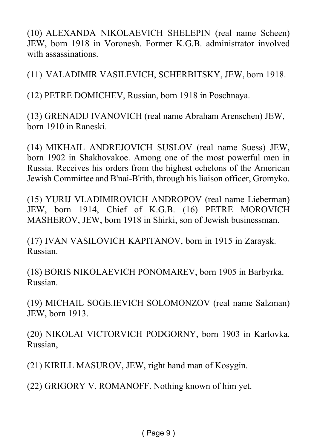(10) ALEXANDA NIKOLAEVICH SHELEPIN (real name Scheen) JEW, born 1918 in Voronesh. Former K.G.B. administrator involved with assassinations.

(11) VALADIMIR VASILEVICH, SCHERBITSKY, JEW, born 1918.

(12) PETRE DOMICHEV, Russian, born 1918 in Poschnaya.

(13) GRENADIJ IVANOVICH (real name Abraham Arenschen) JEW, born 1910 in Raneski.

(14) MIKHAIL ANDREJOVICH SUSLOV (real name Suess) JEW, born 1902 in Shakhovakoe. Among one of the most powerful men in Russia. Receives his orders from the highest echelons of the American Jewish Committee and B'nai-B'rith, through his liaison officer, Gromyko.

(15) YURIJ VLADIMIROVICH ANDROPOV (real name Lieberman) JEW, born 1914, Chief of K.G.B. (16) PETRE MOROVICH MASHEROV, JEW, born 1918 in Shirki, son of Jewish businessman.

(17) IVAN VASILOVICH KAPITANOV, born in 1915 in Zaraysk. Russian.

(18) BORIS NIKOLAEVICH PONOMAREV, born 1905 in Barbyrka. Russian.

(19) MICHAIL SOGE.IEVICH SOLOMONZOV (real name Salzman) JEW, born 1913.

(20) NIKOLAI VICTORVICH PODGORNY, born 1903 in Karlovka. Russian,

(21) KIRILL MASUROV, JEW, right hand man of Kosygin.

(22) GRIGORY V. ROMANOFF. Nothing known of him yet.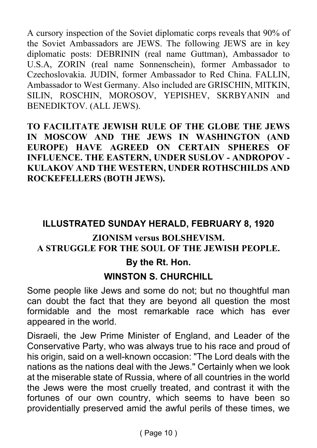A cursory inspection of the Soviet diplomatic corps reveals that 90% of the Soviet Ambassadors are JEWS. The following JEWS are in key diplomatic posts: DEBRININ (real name Guttman), Ambassador to U.S.A, ZORIN (real name Sonnenschein), former Ambassador to Czechoslovakia. JUDIN, former Ambassador to Red China. FALLIN, Ambassador to West Germany. Also included are GRISCHIN, MITKIN, SILIN, ROSCHIN, MOROSOV, YEPISHEV, SKRBYANIN and BENEDIKTOV. (ALL JEWS).

**TO FACILITATE JEWISH RULE OF THE GLOBE THE JEWS IN MOSCOW AND THE JEWS IN WASHINGTON (AND EUROPE) HAVE AGREED ON CERTAIN SPHERES OF INFLUENCE. THE EASTERN, UNDER SUSLOV - ANDROPOV - KULAKOV AND THE WESTERN, UNDER ROTHSCHILDS AND ROCKEFELLERS (BOTH JEWS).**

#### **ILLUSTRATED SUNDAY HERALD, FEBRUARY 8, 1920**

#### **ZIONISM versus BOLSHEVISM. A STRUGGLE FOR THE SOUL OF THE JEWISH PEOPLE.**

#### **By the Rt. Hon.**

#### **WINSTON S. CHURCHILL**

Some people like Jews and some do not; but no thoughtful man can doubt the fact that they are beyond all question the most formidable and the most remarkable race which has ever appeared in the world.

Disraeli, the Jew Prime Minister of England, and Leader of the Conservative Party, who was always true to his race and proud of his origin, said on a well-known occasion: "The Lord deals with the nations as the nations deal with the Jews." Certainly when we look at the miserable state of Russia, where of all countries in the world the Jews were the most cruelly treated, and contrast it with the fortunes of our own country, which seems to have been so providentially preserved amid the awful perils of these times, we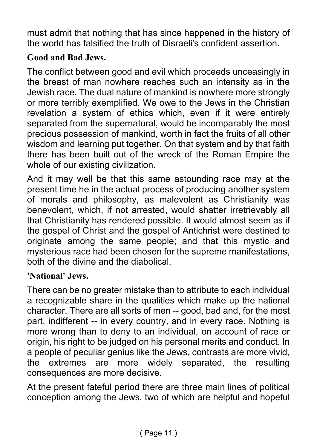must admit that nothing that has since happened in the history of the world has falsified the truth of Disraeli's confident assertion.

#### **Good and Bad Jews.**

The conflict between good and evil which proceeds unceasingly in the breast of man nowhere reaches such an intensity as in the Jewish race. The dual nature of mankind is nowhere more strongly or more terribly exemplified. We owe to the Jews in the Christian revelation a system of ethics which, even if it were entirely separated from the supernatural, would be incomparably the most precious possession of mankind, worth in fact the fruits of all other wisdom and learning put together. On that system and by that faith there has been built out of the wreck of the Roman Empire the whole of our existing civilization.

And it may well be that this same astounding race may at the present time he in the actual process of producing another system of morals and philosophy, as malevolent as Christianity was benevolent, which, if not arrested, would shatter irretrievably all that Christianity has rendered possible. It would almost seem as if the gospel of Christ and the gospel of Antichrist were destined to originate among the same people; and that this mystic and mysterious race had been chosen for the supreme manifestations, both of the divine and the diabolical.

#### **'National' Jews.**

There can be no greater mistake than to attribute to each individual a recognizable share in the qualities which make up the national character. There are all sorts of men -- good, bad and, for the most part, indifferent -- in every country, and in every race. Nothing is more wrong than to deny to an individual, on account of race or origin, his right to be judged on his personal merits and conduct. In a people of peculiar genius like the Jews, contrasts are more vivid, the extremes are more widely separated, the resulting consequences are more decisive.

At the present fateful period there are three main lines of political conception among the Jews. two of which are helpful and hopeful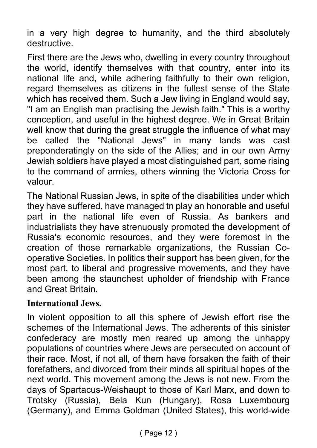in a very high degree to humanity, and the third absolutely destructive.

First there are the Jews who, dwelling in every country throughout the world, identify themselves with that country, enter into its national life and, while adhering faithfully to their own religion, regard themselves as citizens in the fullest sense of the State which has received them. Such a Jew living in England would say. "I am an English man practising the Jewish faith." This is a worthy conception, and useful in the highest degree. We in Great Britain well know that during the great struggle the influence of what may be called the "National Jews" in many lands was cast preponderatingly on the side of the Allies; and in our own Army Jewish soldiers have played a most distinguished part, some rising to the command of armies, others winning the Victoria Cross for valour.

The National Russian Jews, in spite of the disabilities under which they have suffered, have managed tn play an honorable and useful part in the national life even of Russia. As bankers and industrialists they have strenuously promoted the development of Russia's economic resources, and they were foremost in the creation of those remarkable organizations, the Russian Cooperative Societies. In politics their support has been given, for the most part, to liberal and progressive movements, and they have been among the staunchest upholder of friendship with France and Great Britain.

#### **International Jews.**

In violent opposition to all this sphere of Jewish effort rise the schemes of the International Jews. The adherents of this sinister confederacy are mostly men reared up among the unhappy populations of countries where Jews are persecuted on account of their race. Most, if not all, of them have forsaken the faith of their forefathers, and divorced from their minds all spiritual hopes of the next world. This movement among the Jews is not new. From the days of Spartacus-Weishaupt to those of Karl Marx, and down to Trotsky (Russia), Bela Kun (Hungary), Rosa Luxembourg (Germany), and Emma Goldman (United States), this world-wide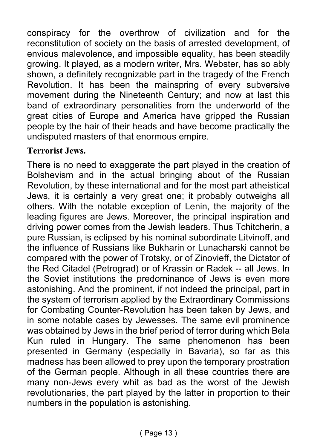conspiracy for the overthrow of civilization and for the reconstitution of society on the basis of arrested development, of envious malevolence, and impossible equality, has been steadily growing. It played, as a modern writer, Mrs. Webster, has so ably shown, a definitely recognizable part in the tragedy of the French Revolution. It has been the mainspring of every subversive movement during the Nineteenth Century; and now at last this band of extraordinary personalities from the underworld of the great cities of Europe and America have gripped the Russian people by the hair of their heads and have become practically the undisputed masters of that enormous empire.

#### **Terrorist Jews.**

There is no need to exaggerate the part played in the creation of Bolshevism and in the actual bringing about of the Russian Revolution, by these international and for the most part atheistical Jews, it is certainly a very great one; it probably outweighs all others. With the notable exception of Lenin, the majority of the leading figures are Jews. Moreover, the principal inspiration and driving power comes from the Jewish leaders. Thus Tchitcherin, a pure Russian, is eclipsed by his nominal subordinate Litvinoff, and the influence of Russians like Bukharin or Lunacharski cannot be compared with the power of Trotsky, or of Zinovieff, the Dictator of the Red Citadel (Petrograd) or of Krassin or Radek -- all Jews. In the Soviet institutions the predominance of Jews is even more astonishing. And the prominent, if not indeed the principal, part in the system of terrorism applied by the Extraordinary Commissions for Combating Counter-Revolution has been taken by Jews, and in some notable cases by Jewesses. The same evil prominence was obtained by Jews in the brief period of terror during which Bela Kun ruled in Hungary. The same phenomenon has been presented in Germany (especially in Bavaria), so far as this madness has been allowed to prey upon the temporary prostration of the German people. Although in all these countries there are many non-Jews every whit as bad as the worst of the Jewish revolutionaries, the part played by the latter in proportion to their numbers in the population is astonishing.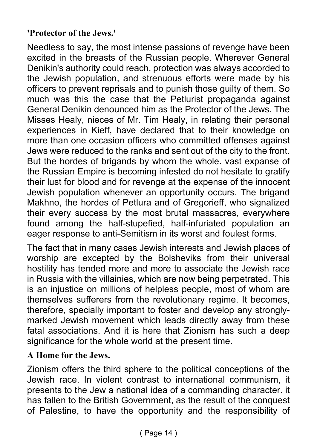#### **'Protector of the Jews.'**

Needless to say, the most intense passions of revenge have been excited in the breasts of the Russian people. Wherever General Denikin's authority could reach, protection was always accorded to the Jewish population, and strenuous efforts were made by his officers to prevent reprisals and to punish those guilty of them. So much was this the case that the Petlurist propaganda against General Denikin denounced him as the Protector of the Jews. The Misses Healy, nieces of Mr. Tim Healy, in relating their personal experiences in Kieff, have declared that to their knowledge on more than one occasion officers who committed offenses against Jews were reduced to the ranks and sent out of the city to the front. But the hordes of brigands by whom the whole. vast expanse of the Russian Empire is becoming infested do not hesitate to gratify their lust for blood and for revenge at the expense of the innocent Jewish population whenever an opportunity occurs. The brigand Makhno, the hordes of Petlura and of Gregorieff, who signalized their every success by the most brutal massacres, everywhere found among the half-stupefied, half-infuriated population an eager response to anti-Semitism in its worst and foulest forms.

The fact that in many cases Jewish interests and Jewish places of worship are excepted by the Bolsheviks from their universal hostility has tended more and more to associate the Jewish race in Russia with the villainies, which are now being perpetrated. This is an injustice on millions of helpless people, most of whom are themselves sufferers from the revolutionary regime. It becomes, therefore, specially important to foster and develop any stronglymarked Jewish movement which leads directly away from these fatal associations. And it is here that Zionism has such a deep significance for the whole world at the present time.

#### **A Home for the Jews.**

Zionism offers the third sphere to the political conceptions of the Jewish race. In violent contrast to international communism, it presents to the Jew a national idea of a commanding character. it has fallen to the British Government, as the result of the conquest of Palestine, to have the opportunity and the responsibility of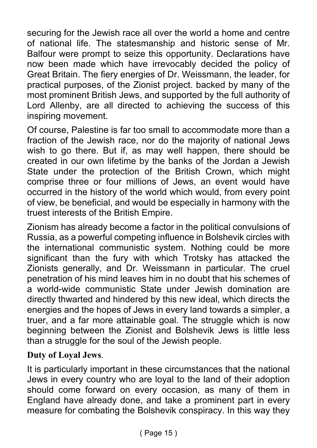securing for the Jewish race all over the world a home and centre of national life. The statesmanship and historic sense of Mr. Balfour were prompt to seize this opportunity. Declarations have now been made which have irrevocably decided the policy of Great Britain. The fiery energies of Dr. Weissmann, the leader, for practical purposes, of the Zionist project. backed by many of the most prominent British Jews, and supported by the full authority of Lord Allenby, are all directed to achieving the success of this inspiring movement.

Of course, Palestine is far too small to accommodate more than a fraction of the Jewish race, nor do the majority of national Jews wish to go there. But if, as may well happen, there should be created in our own lifetime by the banks of the Jordan a Jewish State under the protection of the British Crown, which might comprise three or four millions of Jews, an event would have occurred in the history of the world which would, from every point of view, be beneficial, and would be especially in harmony with the truest interests of the British Empire.

Zionism has already become a factor in the political convulsions of Russia, as a powerful competing influence in Bolshevik circles with the international communistic system. Nothing could be more significant than the fury with which Trotsky has attacked the Zionists generally, and Dr. Weissmann in particular. The cruel penetration of his mind leaves him in no doubt that his schemes of a world-wide communistic State under Jewish domination are directly thwarted and hindered by this new ideal, which directs the energies and the hopes of Jews in every land towards a simpler, a truer, and a far more attainable goal. The struggle which is now beginning between the Zionist and Bolshevik Jews is little less than a struggle for the soul of the Jewish people.

#### **Duty of Loyal Jews**.

It is particularly important in these circumstances that the national Jews in every country who are loyal to the land of their adoption should come forward on every occasion, as many of them in England have already done, and take a prominent part in every measure for combating the Bolshevik conspiracy. In this way they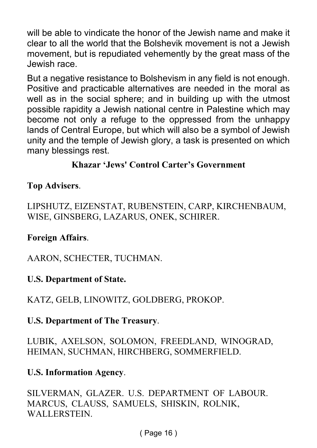will be able to vindicate the honor of the Jewish name and make it clear to all the world that the Bolshevik movement is not a Jewish movement, but is repudiated vehemently by the great mass of the Jewish race.

But a negative resistance to Bolshevism in any field is not enough. Positive and practicable alternatives are needed in the moral as well as in the social sphere; and in building up with the utmost possible rapidity a Jewish national centre in Palestine which may become not only a refuge to the oppressed from the unhappy lands of Central Europe, but which will also be a symbol of Jewish unity and the temple of Jewish glory, a task is presented on which many blessings rest.

#### **Khazar 'Jews' Control Carter's Government**

#### **Top Advisers**.

LIPSHUTZ, EIZENSTAT, RUBENSTEIN, CARP, KIRCHENBAUM, WISE, GINSBERG, LAZARUS, ONEK, SCHIRER.

#### **Foreign Affairs**.

AARON, SCHECTER, TUCHMAN.

#### **U.S. Department of State.**

KATZ, GELB, LINOWITZ, GOLDBERG, PROKOP.

#### **U.S. Department of The Treasury**.

LUBIK, AXELSON, SOLOMON, FREEDLAND, WINOGRAD, HEIMAN, SUCHMAN, HIRCHBERG, SOMMERFIELD.

#### **U.S. Information Agency**.

SILVERMAN, GLAZER. U.S. DEPARTMENT OF LABOUR. MARCUS, CLAUSS, SAMUELS, SHISKIN, ROLNIK, WALLERSTEIN.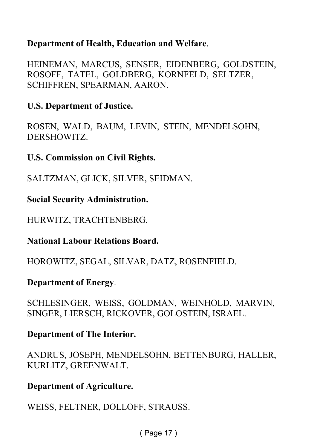#### **Department of Health, Education and Welfare**.

HEINEMAN, MARCUS, SENSER, EIDENBERG, GOLDSTEIN, ROSOFF, TATEL, GOLDBERG, KORNFELD, SELTZER, SCHIFFREN, SPEARMAN, AARON.

#### **U.S. Department of Justice.**

ROSEN, WALD, BAUM, LEVIN, STEIN, MENDELSOHN, DERSHOWITZ.

#### **U.S. Commission on Civil Rights.**

SALTZMAN, GLICK, SILVER, SEIDMAN.

#### **Social Security Administration.**

HURWITZ, TRACHTENBERG.

#### **National Labour Relations Board.**

HOROWITZ, SEGAL, SILVAR, DATZ, ROSENFIELD.

#### **Department of Energy**.

SCHLESINGER, WEISS, GOLDMAN, WEINHOLD, MARVIN, SINGER, LIERSCH, RICKOVER, GOLOSTEIN, ISRAEL.

#### **Department of The Interior.**

ANDRUS, JOSEPH, MENDELSOHN, BETTENBURG, HALLER, KURLITZ, GREENWALT.

#### **Department of Agriculture.**

WEISS, FELTNER, DOLLOFF, STRAUSS.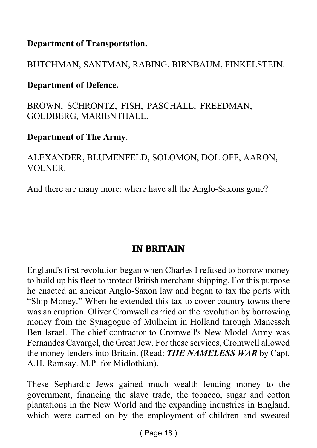#### **Department of Transportation.**

#### BUTCHMAN, SANTMAN, RABING, BIRNBAUM, FINKELSTEIN.

#### **Department of Defence.**

BROWN, SCHRONTZ, FISH, PASCHALL, FREEDMAN, GOLDBERG, MARIENTHALL.

#### **Department of The Army**.

#### ALEXANDER, BLUMENFELD, SOLOMON, DOL OFF, AARON, VOLNER.

And there are many more: where have all the Anglo-Saxons gone?

#### **IN BRITAIN**

England's first revolution began when Charles I refused to borrow money to build up his fleet to protect British merchant shipping. For this purpose he enacted an ancient Anglo-Saxon law and began to tax the ports with "Ship Money." When he extended this tax to cover country towns there was an eruption. Oliver Cromwell carried on the revolution by borrowing money from the Synagogue of Mulheim in Holland through Manesseh Ben Israel. The chief contractor to Cromwell's New Model Army was Fernandes Cavargel, the Great Jew. For these services, Cromwell allowed the money lenders into Britain. (Read: *THE NAMELESS WAR* by Capt. A.H. Ramsay. M.P. for Midlothian).

These Sephardic Jews gained much wealth lending money to the government, financing the slave trade, the tobacco, sugar and cotton plantations in the New World and the expanding industries in England, which were carried on by the employment of children and sweated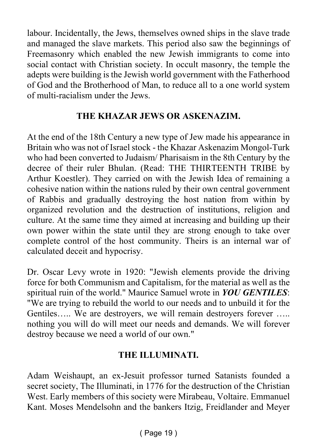labour. Incidentally, the Jews, themselves owned ships in the slave trade and managed the slave markets. This period also saw the beginnings of Freemasonry which enabled the new Jewish immigrants to come into social contact with Christian society. In occult masonry, the temple the adepts were building is the Jewish world government with the Fatherhood of God and the Brotherhood of Man, to reduce all to a one world system of multi-racialism under the Jews.

#### **THE KHAZAR JEWS OR ASKENAZIM.**

At the end of the 18th Century a new type of Jew made his appearance in Britain who was not of Israel stock - the Khazar Askenazim Mongol-Turk who had been converted to Judaism/ Pharisaism in the 8th Century by the decree of their ruler Bhulan. (Read: THE THIRTEENTH TRIBE by Arthur Koestler). They carried on with the Jewish Idea of remaining a cohesive nation within the nations ruled by their own central government of Rabbis and gradually destroying the host nation from within by organized revolution and the destruction of institutions, religion and culture. At the same time they aimed at increasing and building up their own power within the state until they are strong enough to take over complete control of the host community. Theirs is an internal war of calculated deceit and hypocrisy.

Dr. Oscar Levy wrote in 1920: "Jewish elements provide the driving force for both Communism and Capitalism, for the material as well as the spiritual ruin of the world." Maurice Samuel wrote in *YOU GENTILES*: "We are trying to rebuild the world to our needs and to unbuild it for the Gentiles..... We are destroyers, we will remain destroyers forever ..... nothing you will do will meet our needs and demands. We will forever destroy because we need a world of our own."

#### **THE ILLUMINATI.**

Adam Weishaupt, an ex-Jesuit professor turned Satanists founded a secret society, The Illuminati, in 1776 for the destruction of the Christian West. Early members of this society were Mirabeau, Voltaire. Emmanuel Kant. Moses Mendelsohn and the bankers Itzig, Freidlander and Meyer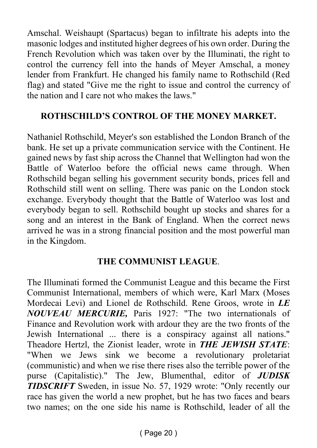Amschal. Weishaupt (Spartacus) began to infiltrate his adepts into the masonic lodges and instituted higher degrees of his own order. During the French Revolution which was taken over by the Illuminati, the right to control the currency fell into the hands of Meyer Amschal, a money lender from Frankfurt. He changed his family name to Rothschild (Red flag) and stated "Give me the right to issue and control the currency of the nation and I care not who makes the laws."

#### **ROTHSCHILD'S CONTROL OF THE MONEY MARKET.**

Nathaniel Rothschild, Meyer's son established the London Branch of the bank. He set up a private communication service with the Continent. He gained news by fast ship across the Channel that Wellington had won the Battle of Waterloo before the official news came through. When Rothschild began selling his government security bonds, prices fell and Rothschild still went on selling. There was panic on the London stock exchange. Everybody thought that the Battle of Waterloo was lost and everybody began to sell. Rothschild bought up stocks and shares for a song and an interest in the Bank of England. When the correct news arrived he was in a strong financial position and the most powerful man in the Kingdom.

#### **THE COMMUNIST LEAGUE**.

The Illuminati formed the Communist League and this became the First Communist International, members of which were, Karl Marx (Moses Mordecai Levi) and Lionel de Rothschild. Rene Groos, wrote in *LE NOUVEAU MERCURIE,* Paris 1927: "The two internationals of Finance and Revolution work with ardour they are the two fronts of the Jewish International ... there is a conspiracy against all nations." Theadore Hertzl, the Zionist leader, wrote in *THE JEWISH STATE*: "When we Jews sink we become a revolutionary proletariat (communistic) and when we rise there rises also the terrible power of the purse (Capitalistic)." The Jew, Blumenthal, editor of *JUDISK TIDSCRIFT* Sweden, in issue No. 57, 1929 wrote: "Only recently our race has given the world a new prophet, but he has two faces and bears two names; on the one side his name is Rothschild, leader of all the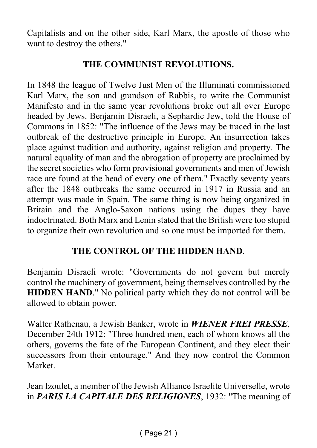Capitalists and on the other side, Karl Marx, the apostle of those who want to destroy the others."

#### **THE COMMUNIST REVOLUTIONS.**

In 1848 the league of Twelve Just Men of the Illuminati commissioned Karl Marx, the son and grandson of Rabbis, to write the Communist Manifesto and in the same year revolutions broke out all over Europe headed by Jews. Benjamin Disraeli, a Sephardic Jew, told the House of Commons in 1852: "The influence of the Jews may be traced in the last outbreak of the destructive principle in Europe. An insurrection takes place against tradition and authority, against religion and property. The natural equality of man and the abrogation of property are proclaimed by the secret societies who form provisional governments and men of Jewish race are found at the head of every one of them." Exactly seventy years after the 1848 outbreaks the same occurred in 1917 in Russia and an attempt was made in Spain. The same thing is now being organized in Britain and the Anglo-Saxon nations using the dupes they have indoctrinated. Both Marx and Lenin stated that the British were too stupid to organize their own revolution and so one must be imported for them.

#### **THE CONTROL OF THE HIDDEN HAND**.

Benjamin Disraeli wrote: "Governments do not govern but merely control the machinery of government, being themselves controlled by the **HIDDEN HAND**." No political party which they do not control will be allowed to obtain power.

Walter Rathenau, a Jewish Banker, wrote in *WIENER FREI PRESSE*, December 24th 1912: "Three hundred men, each of whom knows all the others, governs the fate of the European Continent, and they elect their successors from their entourage." And they now control the Common Market.

Jean Izoulet, a member of the Jewish Alliance Israelite Universelle, wrote in *PARIS LA CAPITALE DES RELIGIONES*, 1932: "The meaning of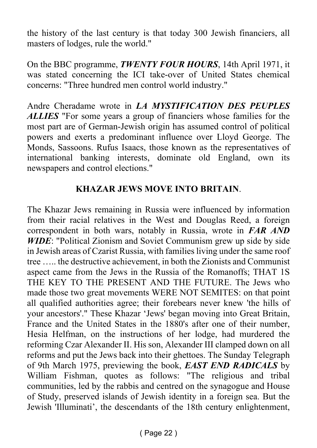the history of the last century is that today 300 Jewish financiers, all masters of lodges, rule the world."

On the BBC programme, *TWENTY FOUR HOURS*, 14th April 1971, it was stated concerning the ICI take-over of United States chemical concerns: "Three hundred men control world industry."

Andre Cheradame wrote in *LA MYSTIFICATION DES PEUPLES ALLIES* "For some years a group of financiers whose families for the most part are of German-Jewish origin has assumed control of political powers and exerts a predominant influence over Lloyd George. The Monds, Sassoons. Rufus Isaacs, those known as the representatives of international banking interests, dominate old England, own its newspapers and control elections."

#### **KHAZAR JEWS MOVE INTO BRITAIN**.

The Khazar Jews remaining in Russia were influenced by information from their racial relatives in the West and Douglas Reed, a foreign correspondent in both wars, notably in Russia, wrote in *FAR AND WIDE*: "Political Zionism and Soviet Communism grew up side by side in Jewish areas of Czarist Russia, with families living under the same roof tree ….. the destructive achievement, in both the Zionists and Communist aspect came from the Jews in the Russia of the Romanoffs; THAT 1S THE KEY TO THE PRESENT AND THE FUTURE. The Jews who made those two great movements WERE NOT SEMITES: on that point all qualified authorities agree; their forebears never knew 'the hills of your ancestors'." These Khazar 'Jews' began moving into Great Britain, France and the United States in the 1880's after one of their number, Hesia Helfman, on the instructions of her lodge, had murdered the reforming Czar Alexander II. His son, Alexander III clamped down on all reforms and put the Jews back into their ghettoes. The Sunday Telegraph of 9th March 1975, previewing the book, *EAST END RADICALS* by William Fishman, quotes as follows: "The religious and tribal communities, led by the rabbis and centred on the synagogue and House of Study, preserved islands of Jewish identity in a foreign sea. But the Jewish 'Illuminati', the descendants of the 18th century enlightenment,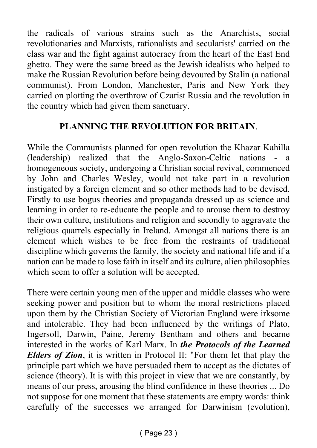the radicals of various strains such as the Anarchists, social revolutionaries and Marxists, rationalists and secularists' carried on the class war and the fight against autocracy from the heart of the East End ghetto. They were the same breed as the Jewish idealists who helped to make the Russian Revolution before being devoured by Stalin (a national communist). From London, Manchester, Paris and New York they carried on plotting the overthrow of Czarist Russia and the revolution in the country which had given them sanctuary.

#### **PLANNING THE REVOLUTION FOR BRITAIN**.

While the Communists planned for open revolution the Khazar Kahilla  $(leafship)$  realized that the Anglo-Saxon-Celtic nations homogeneous society, undergoing a Christian social revival, commenced by John and Charles Wesley, would not take part in a revolution instigated by a foreign element and so other methods had to be devised. Firstly to use bogus theories and propaganda dressed up as science and learning in order to re-educate the people and to arouse them to destroy their own culture, institutions and religion and secondly to aggravate the religious quarrels especially in Ireland. Amongst all nations there is an element which wishes to be free from the restraints of traditional discipline which governs the family, the society and national life and if a nation can be made to lose faith in itself and its culture, alien philosophies which seem to offer a solution will be accepted.

There were certain young men of the upper and middle classes who were seeking power and position but to whom the moral restrictions placed upon them by the Christian Society of Victorian England were irksome and intolerable. They had been influenced by the writings of Plato, Ingersoll, Darwin, Paine, Jeremy Bentham and others and became interested in the works of Karl Marx. In *the Protocols of the Learned Elders of Zion*, it is written in Protocol II: "For them let that play the principle part which we have persuaded them to accept as the dictates of science (theory). It is with this project in view that we are constantly, by means of our press, arousing the blind confidence in these theories ... Do not suppose for one moment that these statements are empty words: think carefully of the successes we arranged for Darwinism (evolution),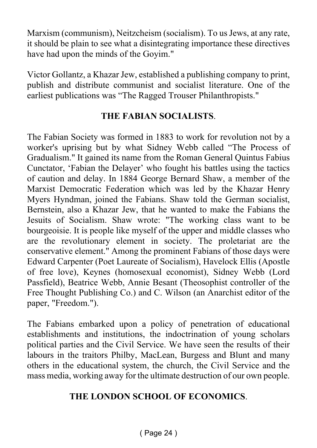Marxism (communism), Neitzcheism (socialism). To us Jews, at any rate, it should be plain to see what a disintegrating importance these directives have had upon the minds of the Goyim."

Victor Gollantz, a Khazar Jew, established a publishing company to print, publish and distribute communist and socialist literature. One of the earliest publications was "The Ragged Trouser Philanthropists."

#### **THE FABIAN SOCIALISTS**.

The Fabian Society was formed in 1883 to work for revolution not by a worker's uprising but by what Sidney Webb called "The Process of Gradualism." It gained its name from the Roman General Quintus Fabius Cunctator, 'Fabian the Delayer' who fought his battles using the tactics of caution and delay. In 1884 George Bernard Shaw, a member of the Marxist Democratic Federation which was led by the Khazar Henry Myers Hyndman, joined the Fabians. Shaw told the German socialist, Bernstein, also a Khazar Jew, that he wanted to make the Fabians the Jesuits of Socialism. Shaw wrote: "The working class want to be bourgeoisie. It is people like myself of the upper and middle classes who are the revolutionary element in society. The proletariat are the conservative element." Among the prominent Fabians of those days were Edward Carpenter (Poet Laureate of Socialism), Havelock Ellis (Apostle of free love), Keynes (homosexual economist), Sidney Webb (Lord Passfield), Beatrice Webb, Annie Besant (Theosophist controller of the Free Thought Publishing Co.) and C. Wilson (an Anarchist editor of the paper, "Freedom.").

The Fabians embarked upon a policy of penetration of educational establishments and institutions, the indoctrination of young scholars political parties and the Civil Service. We have seen the results of their labours in the traitors Philby, MacLean, Burgess and Blunt and many others in the educational system, the church, the Civil Service and the mass media, working away for the ultimate destruction of our own people.

#### **THE LONDON SCHOOL OF ECONOMICS**.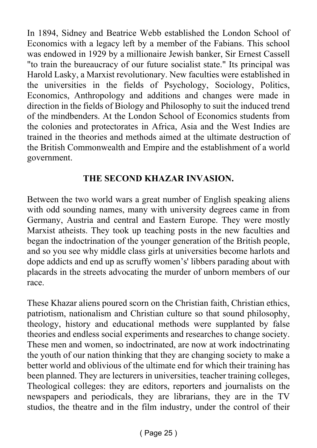In 1894, Sidney and Beatrice Webb established the London School of Economics with a legacy left by a member of the Fabians. This school was endowed in 1929 by a millionaire Jewish banker, Sir Ernest Cassell "to train the bureaucracy of our future socialist state." Its principal was Harold Lasky, a Marxist revolutionary. New faculties were established in the universities in the fields of Psychology, Sociology, Politics, Economics, Anthropology and additions and changes were made in direction in the fields of Biology and Philosophy to suit the induced trend of the mindbenders. At the London School of Economics students from the colonies and protectorates in Africa, Asia and the West Indies are trained in the theories and methods aimed at the ultimate destruction of the British Commonwealth and Empire and the establishment of a world government.

#### **THE SECOND KHAZAR INVASION.**

Between the two world wars a great number of English speaking aliens with odd sounding names, many with university degrees came in from Germany, Austria and central and Eastern Europe. They were mostly Marxist atheists. They took up teaching posts in the new faculties and began the indoctrination of the younger generation of the British people, and so you see why middle class girls at universities become harlots and dope addicts and end up as scruffy women's' libbers parading about with placards in the streets advocating the murder of unborn members of our race.

These Khazar aliens poured scorn on the Christian faith, Christian ethics, patriotism, nationalism and Christian culture so that sound philosophy, theology, history and educational methods were supplanted by false theories and endless social experiments and researches to change society. These men and women, so indoctrinated, are now at work indoctrinating the youth of our nation thinking that they are changing society to make a better world and oblivious of the ultimate end for which their training has been planned. They are lecturers in universities, teacher training colleges, Theological colleges: they are editors, reporters and journalists on the newspapers and periodicals, they are librarians, they are in the TV studios, the theatre and in the film industry, under the control of their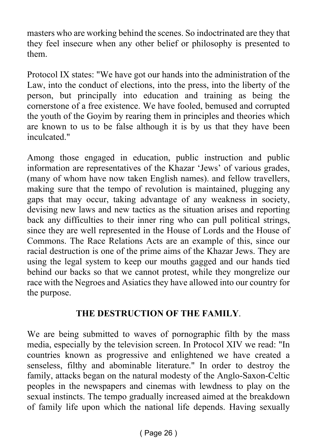masters who are working behind the scenes. So indoctrinated are they that they feel insecure when any other belief or philosophy is presented to them.

Protocol IX states: "We have got our hands into the administration of the Law, into the conduct of elections, into the press, into the liberty of the person, but principally into education and training as being the cornerstone of a free existence. We have fooled, bemused and corrupted the youth of the Goyim by rearing them in principles and theories which are known to us to be false although it is by us that they have been inculcated."

Among those engaged in education, public instruction and public information are representatives of the Khazar 'Jews' of various grades, (many of whom have now taken English names). and fellow travellers, making sure that the tempo of revolution is maintained, plugging any gaps that may occur, taking advantage of any weakness in society, devising new laws and new tactics as the situation arises and reporting back any difficulties to their inner ring who can pull political strings, since they are well represented in the House of Lords and the House of Commons. The Race Relations Acts are an example of this, since our racial destruction is one of the prime aims of the Khazar Jews. They are using the legal system to keep our mouths gagged and our hands tied behind our backs so that we cannot protest, while they mongrelize our race with the Negroes and Asiatics they have allowed into our country for the purpose.

#### **THE DESTRUCTION OF THE FAMILY**.

We are being submitted to waves of pornographic filth by the mass media, especially by the television screen. In Protocol XIV we read: "In countries known as progressive and enlightened we have created a senseless, filthy and abominable literature." In order to destroy the family, attacks began on the natural modesty of the Anglo-Saxon-Celtic peoples in the newspapers and cinemas with lewdness to play on the sexual instincts. The tempo gradually increased aimed at the breakdown of family life upon which the national life depends. Having sexually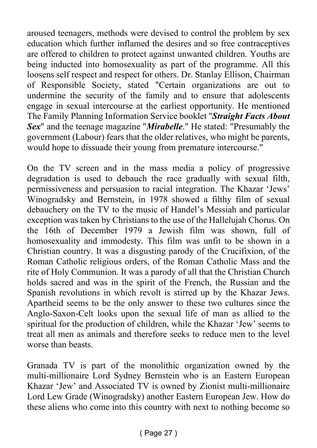aroused teenagers, methods were devised to control the problem by sex education which further inflamed the desires and so free contraceptives are offered to children to protect against unwanted children. Youths are being inducted into homosexuality as part of the programme. All this loosens self respect and respect for others. Dr. Stanlay Ellison, Chairman of Responsible Society, stated "Certain organizations are out to undermine the security of the family and to ensure that adolescents engage in sexual intercourse at the earliest opportunity. He mentioned The Family Planning Information Service booklet "*Straight Facts About Sex*" and the teenage magazine "*Mirabelle*." He stated: "Presumably the government (Labour) fears that the older relatives, who might be parents, would hope to dissuade their young from premature intercourse."

On the TV screen and in the mass media a policy of progressive degradation is used to debauch the race gradually with sexual filth, permissiveness and persuasion to racial integration. The Khazar 'Jews' Winogradsky and Bernstein, in 1978 showed a filthy film of sexual debauchery on the TV to the music of Handel's Messiah and particular exception was taken by Christians to the use of the Hallelujah Chorus. On the 16th of December 1979 a Jewish film was shown, full of homosexuality and immodesty. This film was unfit to be shown in a Christian country. It was a disgusting parody of the Crucifixion, of the Roman Catholic religious orders, of the Roman Catholic Mass and the rite of Holy Communion. It was a parody of all that the Christian Church holds sacred and was in the spirit of the French, the Russian and the Spanish revolutions in which revolt is stirred up by the Khazar Jews. Apartheid seems to be the only answer to these two cultures since the Anglo-Saxon-Celt looks upon the sexual life of man as allied to the spiritual for the production of children, while the Khazar 'Jew' seems to treat all men as animals and therefore seeks to reduce men to the level worse than beasts.

Granada TV is part of the monolithic organization owned by the multi-millionaire Lord Sydney Bernstein who is an Eastern European Khazar 'Jew' and Associated TV is owned by Zionist multi-millionaire Lord Lew Grade (Winogradsky) another Eastern European Jew. How do these aliens who come into this country with next to nothing become so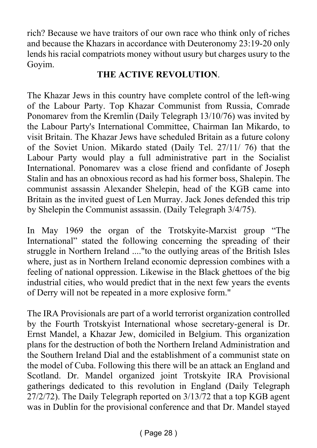rich? Because we have traitors of our own race who think only of riches and because the Khazars in accordance with Deuteronomy 23:19-20 only lends his racial compatriots money without usury but charges usury to the Goyim.

#### **THE ACTIVE REVOLUTION**.

The Khazar Jews in this country have complete control of the left-wing of the Labour Party. Top Khazar Communist from Russia, Comrade Ponomarev from the Kremlin (Daily Telegraph 13/10/76) was invited by the Labour Party's International Committee, Chairman Ian Mikardo, to visit Britain. The Khazar Jews have scheduled Britain as a future colony of the Soviet Union. Mikardo stated (Daily Tel. 27/11/ 76) that the Labour Party would play a full administrative part in the Socialist International. Ponomarev was a close friend and confidante of Joseph Stalin and has an obnoxious record as had his former boss, Shalepin. The communist assassin Alexander Shelepin, head of the KGB came into Britain as the invited guest of Len Murray. Jack Jones defended this trip by Shelepin the Communist assassin. (Daily Telegraph 3/4/75).

In May 1969 the organ of the Trotskyite-Marxist group "The International" stated the following concerning the spreading of their struggle in Northern Ireland ...."to the outlying areas of the British Isles where, just as in Northern Ireland economic depression combines with a feeling of national oppression. Likewise in the Black ghettoes of the big industrial cities, who would predict that in the next few years the events of Derry will not be repeated in a more explosive form."

The IRA Provisionals are part of a world terrorist organization controlled by the Fourth Trotskyist International whose secretary-general is Dr. Ernst Mandel, a Khazar Jew, domiciled in Belgium. This organization plans for the destruction of both the Northern Ireland Administration and the Southern Ireland Dial and the establishment of a communist state on the model of Cuba. Following this there will be an attack an England and Scotland. Dr. Mandel organized joint Trotskyite IRA Provisional gatherings dedicated to this revolution in England (Daily Telegraph 27/2/72). The Daily Telegraph reported on 3/13/72 that a top KGB agent was in Dublin for the provisional conference and that Dr. Mandel stayed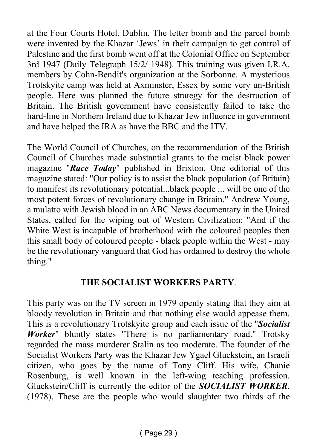at the Four Courts Hotel, Dublin. The letter bomb and the parcel bomb were invented by the Khazar 'Jews' in their campaign to get control of Palestine and the first bomb went off at the Colonial Office on September 3rd 1947 (Daily Telegraph 15/2/ 1948). This training was given I.R.A. members by Cohn-Bendit's organization at the Sorbonne. A mysterious Trotskyite camp was held at Axminster, Essex by some very un-British people. Here was planned the future strategy for the destruction of Britain. The British government have consistently failed to take the hard-line in Northern Ireland due to Khazar Jew influence in government and have helped the IRA as have the BBC and the ITV.

The World Council of Churches, on the recommendation of the British Council of Churches made substantial grants to the racist black power magazine "*Race Today*" published in Brixton. One editorial of this magazine stated: "Our policy is to assist the black population (of Britain) to manifest its revolutionary potential...black people ... will be one of the most potent forces of revolutionary change in Britain." Andrew Young, a mulatto with Jewish blood in an ABC News documentary in the United States, called for the wiping out of Western Civilization: "And if the White West is incapable of brotherhood with the coloured peoples then this small body of coloured people - black people within the West - may be the revolutionary vanguard that God has ordained to destroy the whole thing."

#### **THE SOCIALIST WORKERS PARTY**.

This party was on the TV screen in 1979 openly stating that they aim at bloody revolution in Britain and that nothing else would appease them. This is a revolutionary Trotskyite group and each issue of the "*Socialist Worker*" bluntly states "There is no parliamentary road." Trotsky regarded the mass murderer Stalin as too moderate. The founder of the Socialist Workers Party was the Khazar Jew Ygael Gluckstein, an Israeli citizen, who goes by the name of Tony Cliff. His wife, Chanie Rosenburg, is well known in the left-wing teaching profession. Gluckstein/Cliff is currently the editor of the *SOCIALIST WORKER*. (1978). These are the people who would slaughter two thirds of the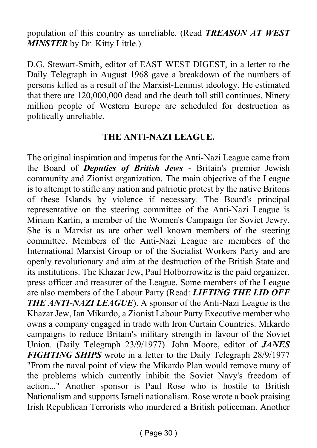population of this country as unreliable. (Read *TREASON AT WEST MINSTER* by Dr. Kitty Little.)

D.G. Stewart-Smith, editor of EAST WEST DIGEST, in a letter to the Daily Telegraph in August 1968 gave a breakdown of the numbers of persons killed as a result of the Marxist-Leninist ideology. He estimated that there are 120,000,000 dead and the death toll still continues. Ninety million people of Western Europe are scheduled for destruction as politically unreliable.

#### **THE ANTI-NAZI LEAGUE.**

The original inspiration and impetus for the Anti-Nazi League came from the Board of *Deputies of British Jews* - Britain's premier Jewish community and Zionist organization. The main objective of the League is to attempt to stifle any nation and patriotic protest by the native Britons of these Islands by violence if necessary. The Board's principal representative on the steering committee of the Anti-Nazi League is Miriam Karlin, a member of the Women's Campaign for Soviet Jewry. She is a Marxist as are other well known members of the steering committee. Members of the Anti-Nazi League are members of the International Marxist Group or of the Socialist Workers Party and are openly revolutionary and aim at the destruction of the British State and its institutions. The Khazar Jew, Paul Holborrowitz is the paid organizer, press officer and treasurer of the League. Some members of the League are also members of the Labour Party (Read: *LIFTING THE LID OFF THE ANTI-NAZI LEAGUE*). A sponsor of the Anti-Nazi League is the Khazar Jew, Ian Mikardo, a Zionist Labour Party Executive member who owns a company engaged in trade with Iron Curtain Countries. Mikardo campaigns to reduce Britain's military strength in favour of the Soviet Union. (Daily Telegraph 23/9/1977). John Moore, editor of *JANES FIGHTING SHIPS* wrote in a letter to the Daily Telegraph 28/9/1977 "From the naval point of view the Mikardo Plan would remove many of the problems which currently inhibit the Soviet Navy's freedom of action..." Another sponsor is Paul Rose who is hostile to British Nationalism and supports Israeli nationalism. Rose wrote a book praising Irish Republican Terrorists who murdered a British policeman. Another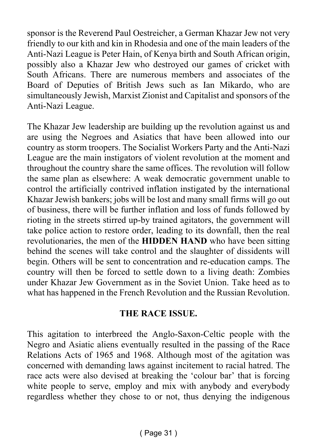sponsor is the Reverend Paul Oestreicher, a German Khazar Jew not very friendly to our kith and kin in Rhodesia and one of the main leaders of the Anti-Nazi League is Peter Hain, of Kenya birth and South African origin, possibly also a Khazar Jew who destroyed our games of cricket with South Africans. There are numerous members and associates of the Board of Deputies of British Jews such as Ian Mikardo, who are simultaneously Jewish, Marxist Zionist and Capitalist and sponsors of the Anti-Nazi League.

The Khazar Jew leadership are building up the revolution against us and are using the Negroes and Asiatics that have been allowed into our country as storm troopers. The Socialist Workers Party and the Anti-Nazi League are the main instigators of violent revolution at the moment and throughout the country share the same offices. The revolution will follow the same plan as elsewhere: A weak democratic government unable to control the artificially contrived inflation instigated by the international Khazar Jewish bankers; jobs will be lost and many small firms will go out of business, there will be further inflation and loss of funds followed by rioting in the streets stirred up-by trained agitators, the government will take police action to restore order, leading to its downfall, then the real revolutionaries, the men of the **HIDDEN HAND** who have been sitting behind the scenes will take control and the slaughter of dissidents will begin. Others will be sent to concentration and re-education camps. The country will then be forced to settle down to a living death: Zombies under Khazar Jew Government as in the Soviet Union. Take heed as to what has happened in the French Revolution and the Russian Revolution.

#### **THE RACE ISSUE.**

This agitation to interbreed the Anglo-Saxon-Celtic people with the Negro and Asiatic aliens eventually resulted in the passing of the Race Relations Acts of 1965 and 1968. Although most of the agitation was concerned with demanding laws against incitement to racial hatred. The race acts were also devised at breaking the 'colour bar' that is forcing white people to serve, employ and mix with anybody and everybody regardless whether they chose to or not, thus denying the indigenous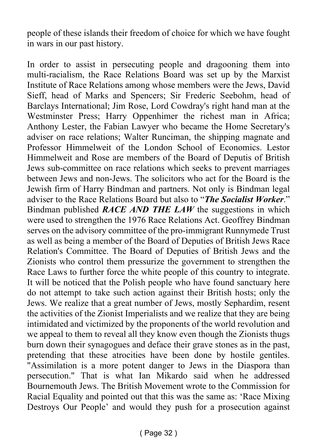people of these islands their freedom of choice for which we have fought in wars in our past history.

In order to assist in persecuting people and dragooning them into multi-racialism, the Race Relations Board was set up by the Marxist Institute of Race Relations among whose members were the Jews, David Sieff, head of Marks and Spencers; Sir Frederic Seebohm, head of Barclays International; Jim Rose, Lord Cowdray's right hand man at the Westminster Press; Harry Oppenhimer the richest man in Africa; Anthony Lester, the Fabian Lawyer who became the Home Secretary's adviser on race relations; Walter Runciman, the shipping magnate and Professor Himmelweit of the London School of Economics. Lestor Himmelweit and Rose are members of the Board of Deputis of British Jews sub-committee on race relations which seeks to prevent marriages between Jews and non-Jews. The solicitors who act for the Board is the Jewish firm of Harry Bindman and partners. Not only is Bindman legal adviser to the Race Relations Board but also to "*The Socialist Worker*." Bindman published *RACE AND THE LAW* the suggestions in which were used to strengthen the 1976 Race Relations Act. Geoffrey Bindman serves on the advisory committee of the pro-immigrant Runnymede Trust as well as being a member of the Board of Deputies of British Jews Race Relation's Committee. The Board of Deputies of British Jews and the Zionists who control them pressurize the government to strengthen the Race Laws to further force the white people of this country to integrate. It will be noticed that the Polish people who have found sanctuary here do not attempt to take such action against their British hosts; only the Jews. We realize that a great number of Jews, mostly Sephardim, resent the activities of the Zionist Imperialists and we realize that they are being intimidated and victimized by the proponents of the world revolution and we appeal to them to reveal all they know even though the Zionists thugs burn down their synagogues and deface their grave stones as in the past, pretending that these atrocities have been done by hostile gentiles. "Assimilation is a more potent danger to Jews in the Diaspora than persecution." That is what Ian Mikardo said when he addressed Bournemouth Jews. The British Movement wrote to the Commission for Racial Equality and pointed out that this was the same as: 'Race Mixing Destroys Our People' and would they push for a prosecution against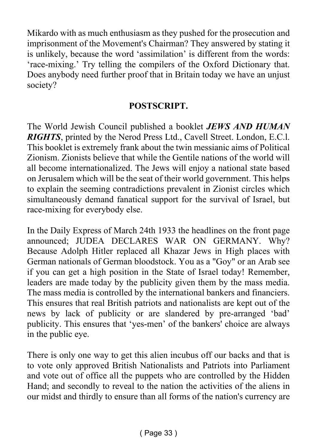Mikardo with as much enthusiasm as they pushed for the prosecution and imprisonment of the Movement's Chairman? They answered by stating it is unlikely, because the word 'assimilation' is different from the words: 'race-mixing.' Try telling the compilers of the Oxford Dictionary that. Does anybody need further proof that in Britain today we have an unjust society?

#### **POSTSCRIPT.**

The World Jewish Council published a booklet *JEWS AND HUMAN RIGHTS*, printed by the Nerod Press Ltd., Cavell Street. London, E.C.l. This booklet is extremely frank about the twin messianic aims of Political Zionism. Zionists believe that while the Gentile nations of the world will all become internationalized. The Jews will enjoy a national state based on Jerusalem which will be the seat of their world government. This helps to explain the seeming contradictions prevalent in Zionist circles which simultaneously demand fanatical support for the survival of Israel, but race-mixing for everybody else.

In the Daily Express of March 24th 1933 the headlines on the front page announced; JUDEA DECLARES WAR ON GERMANY. Why? Because Adolph Hitler replaced all Khazar Jews in High places with German nationals of German bloodstock. You as a "Goy" or an Arab see if you can get a high position in the State of Israel today! Remember, leaders are made today by the publicity given them by the mass media. The mass media is controlled by the international bankers and financiers. This ensures that real British patriots and nationalists are kept out of the news by lack of publicity or are slandered by pre-arranged 'bad' publicity. This ensures that 'yes-men' of the bankers' choice are always in the public eye.

There is only one way to get this alien incubus off our backs and that is to vote only approved British Nationalists and Patriots into Parliament and vote out of office all the puppets who are controlled by the Hidden Hand; and secondly to reveal to the nation the activities of the aliens in our midst and thirdly to ensure than all forms of the nation's currency are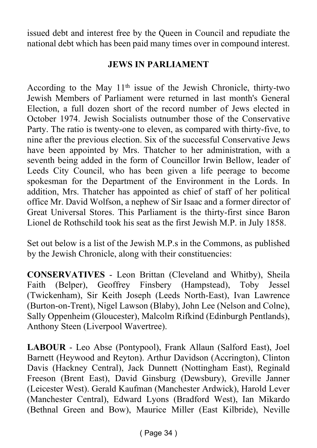issued debt and interest free by the Queen in Council and repudiate the national debt which has been paid many times over in compound interest.

#### **JEWS IN PARLIAMENT**

According to the May 11th issue of the Jewish Chronicle, thirty-two Jewish Members of Parliament were returned in last month's General Election, a full dozen short of the record number of Jews elected in October 1974. Jewish Socialists outnumber those of the Conservative Party. The ratio is twenty-one to eleven, as compared with thirty-five, to nine after the previous election. Six of the successful Conservative Jews have been appointed by Mrs. Thatcher to her administration, with a seventh being added in the form of Councillor Irwin Bellow, leader of Leeds City Council, who has been given a life peerage to become spokesman for the Department of the Environment in the Lords. In addition, Mrs. Thatcher has appointed as chief of staff of her political office Mr. David Wolfson, a nephew of Sir Isaac and a former director of Great Universal Stores. This Parliament is the thirty-first since Baron Lionel de Rothschild took his seat as the first Jewish M.P. in July 1858.

Set out below is a list of the Jewish M.P.s in the Commons, as published by the Jewish Chronicle, along with their constituencies:

**CONSERVATIVES** - Leon Brittan (Cleveland and Whitby), Sheila Faith (Belper), Geoffrey Finsbery (Hampstead), Toby Jessel (Twickenham), Sir Keith Joseph (Leeds North-East), Ivan Lawrence (Burton-on-Trent), Nigel Lawson (Blaby), John Lee (Nelson and Colne), Sally Oppenheim (Gloucester), Malcolm Rifkind (Edinburgh Pentlands), Anthony Steen (Liverpool Wavertree).

**LABOUR** - Leo Abse (Pontypool), Frank Allaun (Salford East), Joel Barnett (Heywood and Reyton). Arthur Davidson (Accrington), Clinton Davis (Hackney Central), Jack Dunnett (Nottingham East), Reginald Freeson (Brent East), David Ginsburg (Dewsbury), Greville Janner (Leicester West). Gerald Kaufman (Manchester Ardwick), Harold Lever (Manchester Central), Edward Lyons (Bradford West), Ian Mikardo (Bethnal Green and Bow), Maurice Miller (East Kilbride), Neville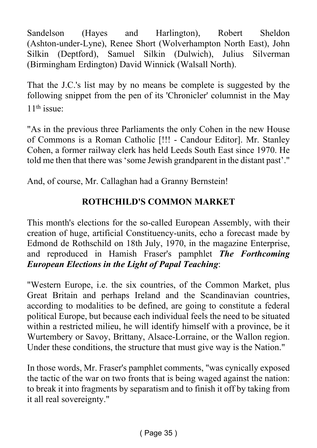Sandelson (Hayes and Harlington), Robert Sheldon (Ashton-under-Lyne), Renee Short (Wolverhampton North East), John Silkin (Deptford), Samuel Silkin (Dulwich), Julius Silverman (Birmingham Erdington) David Winnick (Walsall North).

That the J.C.'s list may by no means be complete is suggested by the following snippet from the pen of its 'Chronicler' columnist in the May 11<sup>th</sup> issue:

"As in the previous three Parliaments the only Cohen in the new House of Commons is a Roman Catholic [!!! - Candour Editor]. Mr. Stanley Cohen, a former railway clerk has held Leeds South East since 1970. He told me then that there was 'some Jewish grandparent in the distant past'."

And, of course, Mr. Callaghan had a Granny Bernstein!

#### **ROTHCHILD'S COMMON MARKET**

This month's elections for the so-called European Assembly, with their creation of huge, artificial Constituency-units, echo a forecast made by Edmond de Rothschild on 18th July, 1970, in the magazine Enterprise, and reproduced in Hamish Fraser's pamphlet *The Forthcoming European Elections in the Light of Papal Teaching*:

"Western Europe, i.e. the six countries, of the Common Market, plus Great Britain and perhaps Ireland and the Scandinavian countries, according to modalities to be defined, are going to constitute a federal political Europe, but because each individual feels the need to be situated within a restricted milieu, he will identify himself with a province, be it Wurtembery or Savoy, Brittany, Alsace-Lorraine, or the Wallon region. Under these conditions, the structure that must give way is the Nation."

In those words, Mr. Fraser's pamphlet comments, "was cynically exposed the tactic of the war on two fronts that is being waged against the nation: to break it into fragments by separatism and to finish it off by taking from it all real sovereignty."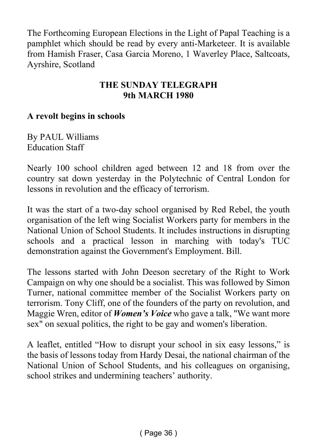The Forthcoming European Elections in the Light of Papal Teaching is a pamphlet which should be read by every anti-Marketeer. It is available from Hamish Fraser, Casa Garcia Moreno, 1 Waverley Place, Saltcoats, Ayrshire, Scotland

#### **THE SUNDAY TELEGRAPH 9th MARCH 1980**

#### **A revolt begins in schools**

By PAUL Williams Education Staff

Nearly 100 school children aged between 12 and 18 from over the country sat down yesterday in the Polytechnic of Central London for lessons in revolution and the efficacy of terrorism.

It was the start of a two-day school organised by Red Rebel, the youth organisation of the left wing Socialist Workers party for members in the National Union of School Students. It includes instructions in disrupting schools and a practical lesson in marching with today's TUC demonstration against the Government's Employment. Bill.

The lessons started with John Deeson secretary of the Right to Work Campaign on why one should be a socialist. This was followed by Simon Turner, national committee member of the Socialist Workers party on terrorism. Tony Cliff, one of the founders of the party on revolution, and Maggie Wren, editor of *Women's Voice* who gave a talk, "We want more sex" on sexual politics, the right to be gay and women's liberation.

A leaflet, entitled "How to disrupt your school in six easy lessons," is the basis of lessons today from Hardy Desai, the national chairman of the National Union of School Students, and his colleagues on organising, school strikes and undermining teachers' authority.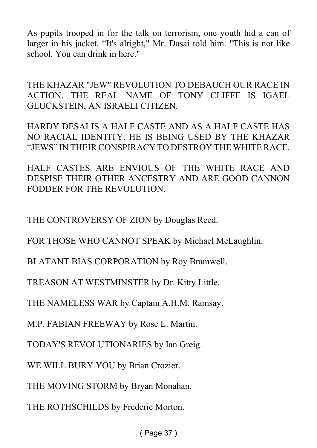As pupils trooped in for the talk on terrorism, one youth hid a can of larger in his jacket. "It's alright," Mr. Dasai told him. "This is not like school. You can drink in here."

THE KHAZAR "JEW" REVOLUTION TO DEBAUCH OUR RACE IN ACTION. THE REAL NAME OF TONY CLIFFE IS IGAEL GLUCKSTEIN, AN ISRAELI CITIZEN.

HARDY DESAI IS A HALF CASTE AND AS A HALF CASTE HAS NO RACIAL IDENTITY. HE IS BEING USED BY THE KHAZAR "JEWS" IN THEIR CONSPIRACY TO DESTROY THE WHITE RACE.

HALF CASTES ARE ENVIOUS OF THE WHITE RACE AND DESPISE THEIR OTHER ANCESTRY AND ARE GOOD CANNON FODDER FOR THE REVOLUTION.

THE CONTROVERSY OF ZION by Douglas Reed.

FOR THOSE WHO CANNOT SPEAK by Michael McLaughlin.

BLATANT BIAS CORPORATION by Roy Bramwell.

TREASON AT WESTMINSTER by Dr. Kitty Little.

THE NAMELESS WAR by Captain A.H.M. Ramsay.

M.P. FABIAN FREEWAY by Rose L. Martin.

TODAY'S REVOLUTIONARIES by Ian Greig.

WE WILL BURY YOU by Brian Crozier.

THE MOVING STORM by Bryan Monahan.

THE ROTHSCHILDS by Frederic Morton.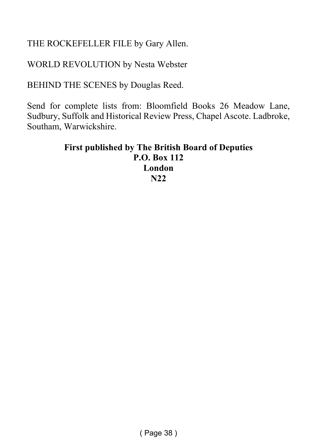THE ROCKEFELLER FILE by Gary Allen.

WORLD REVOLUTION by Nesta Webster

BEHIND THE SCENES by Douglas Reed.

Send for complete lists from: Bloomfield Books 26 Meadow Lane, Sudbury, Suffolk and Historical Review Press, Chapel Ascote. Ladbroke, Southam, Warwickshire.

#### **First published by The British Board of Deputies P.O. Box 112 London N22**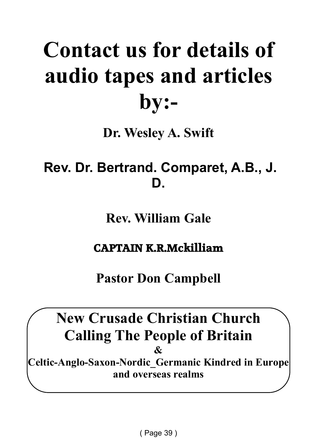# **Contact us for details of audio tapes and articles by:-**

**Dr. Wesley A. Swift**

### **Rev. Dr. Bertrand. Comparet, A.B., J. D.**

**Rev. William Gale**

**CAPTAIN K.R.Mckilliam**

**Pastor Don Campbell**

# **New Crusade Christian Church Calling The People of Britain**

**& Celtic-Anglo-Saxon-Nordic\_Germanic Kindred in Europe and overseas realms**